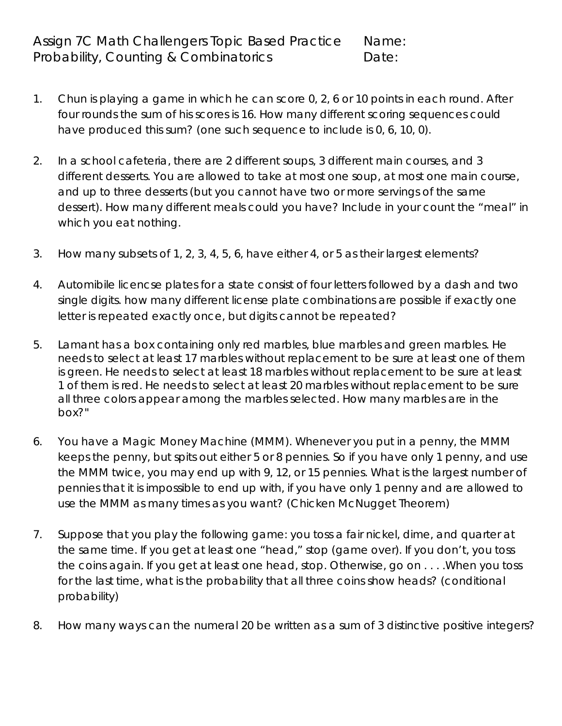- 1. Chun is playing a game in which he can score 0, 2, 6 or 10 points in each round. After four rounds the sum of his scores is 16. How many different scoring sequences could have produced this sum? (one such sequence to include is 0, 6, 10, 0).
- 2. In a school cafeteria, there are 2 different soups, 3 different main courses, and 3 different desserts. You are allowed to take at most one soup, at most one main course, and up to three desserts (but you cannot have two or more servings of the same dessert). How many different meals could you have? Include in your count the "meal" in which you eat nothing.
- 3. How many subsets of 1, 2, 3, 4, 5, 6, have either 4, or 5 as their largest elements?
- 4. Automibile licencse plates for a state consist of four letters followed by a dash and two single digits. how many different license plate combinations are possible if exactly one letter is repeated exactly once, but digits cannot be repeated?
- 5. Lamant has a box containing only red marbles, blue marbles and green marbles. He needs to select at least 17 marbles without replacement to be sure at least one of them is green. He needs to select at least 18 marbles without replacement to be sure at least 1 of them is red. He needs to select at least 20 marbles without replacement to be sure all three colors appear among the marbles selected. How many marbles are in the box?"
- 6. You have a Magic Money Machine (MMM). Whenever you put in a penny, the MMM keeps the penny, but spits out either 5 or 8 pennies. So if you have only 1 penny, and use the MMM twice, you may end up with 9, 12, or 15 pennies. What is the largest number of pennies that it is impossible to end up with, if you have only 1 penny and are allowed to use the MMM as many times as you want? (Chicken McNugget Theorem)
- 7. Suppose that you play the following game: you toss a fair nickel, dime, and quarter at the same time. If you get at least one "head," stop (game over). If you don't, you toss the coins again. If you get at least one head, stop. Otherwise, go on . . . .When you toss for the last time, what is the probability that all three coins show heads? (conditional probability)
- 8. How many ways can the numeral 20 be written as a sum of 3 distinctive positive integers?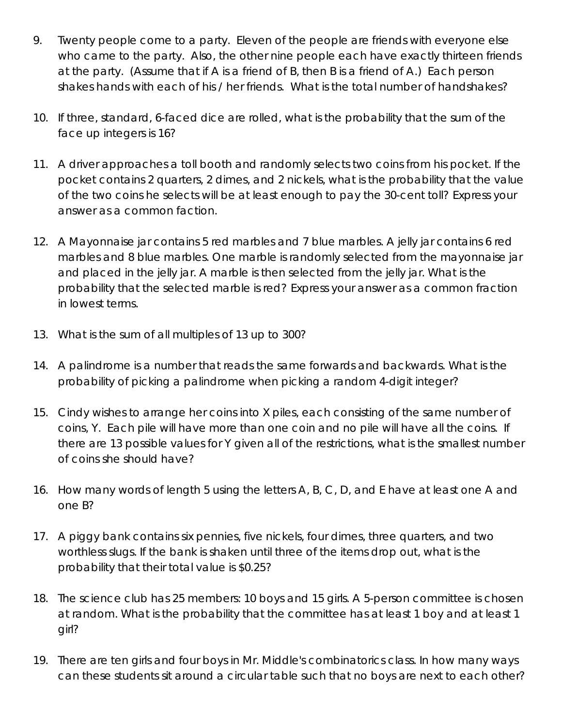- 9. Twenty people come to a party. Eleven of the people are friends with everyone else who came to the party. Also, the other nine people each have exactly thirteen friends at the party. (Assume that if A is a friend of B, then B is a friend of A.) Each person shakes hands with each of his / her friends. What is the total number of handshakes?
- 10. If three, standard, 6-faced dice are rolled, what is the probability that the sum of the face up integers is 16?
- 11. A driver approaches a toll booth and randomly selects two coins from his pocket. If the pocket contains 2 quarters, 2 dimes, and 2 nickels, what is the probability that the value of the two coins he selects will be at least enough to pay the 30-cent toll? Express your answer as a common faction.
- 12. A Mayonnaise jar contains 5 red marbles and 7 blue marbles. A jelly jar contains 6 red marbles and 8 blue marbles. One marble is randomly selected from the mayonnaise jar and placed in the jelly jar. A marble is then selected from the jelly jar. What is the probability that the selected marble is red? Express your answer as a common fraction in lowest terms.
- 13. What is the sum of all multiples of 13 up to 300?
- 14. A palindrome is a number that reads the same forwards and backwards. What is the probability of picking a palindrome when picking a random 4-digit integer?
- 15. Cindy wishes to arrange her coins into X piles, each consisting of the same number of coins, Y. Each pile will have more than one coin and no pile will have all the coins. If there are 13 possible values for Y given all of the restrictions, what is the smallest number of coins she should have?
- 16. How many words of length 5 using the letters A, B, C, D, and E have at least one A and one B?
- 17. A piggy bank contains six pennies, five nickels, four dimes, three quarters, and two worthless slugs. If the bank is shaken until three of the items drop out, what is the probability that their total value is \$0.25?
- 18. The science club has 25 members: 10 boys and 15 girls. A 5-person committee is chosen at random. What is the probability that the committee has at least 1 boy and at least 1 girl?
- 19. There are ten girls and four boys in Mr. Middle's combinatorics class. In how many ways can these students sit around a circular table such that no boys are next to each other?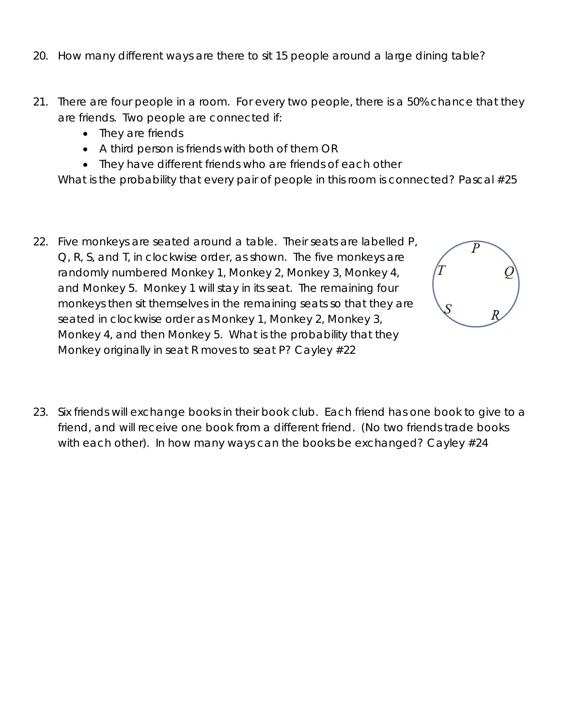- 20. How many different ways are there to sit 15 people around a large dining table?
- 21. There are four people in a room. For every two people, there is a 50% chance that they are friends. Two people are connected if:
	- They are friends
	- A third person is friends with both of them OR
	- They have different friends who are friends of each other

What is the probability that every pair of people in this room is connected? Pascal #25

22. Five monkeys are seated around a table. Their seats are labelled P, Q, R, S, and T, in clockwise order, as shown. The five monkeys are randomly numbered Monkey 1, Monkey 2, Monkey 3, Monkey 4, and Monkey 5. Monkey 1 will stay in its seat. The remaining four monkeys then sit themselves in the remaining seats so that they are seated in clockwise order as Monkey 1, Monkey 2, Monkey 3, Monkey 4, and then Monkey 5. What is the probability that they Monkey originally in seat R moves to seat P? Cayley #22



23. Six friends will exchange books in their book club. Each friend has one book to give to a friend, and will receive one book from a different friend. (No two friends trade books with each other). In how many ways can the books be exchanged? Cayley #24